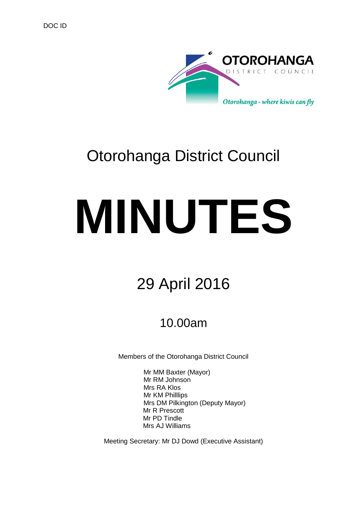

# Otorohanga District Council

# **MINUTES**

# 29 April 2016

## 10.00am

Members of the Otorohanga District Council

Mr MM Baxter (Mayor) Mr RM Johnson Mrs RA Klos Mr KM Philllips Mrs DM Pilkington (Deputy Mayor) Mr R Prescott Mr PD Tindle Mrs AJ Williams

Meeting Secretary: Mr DJ Dowd (Executive Assistant)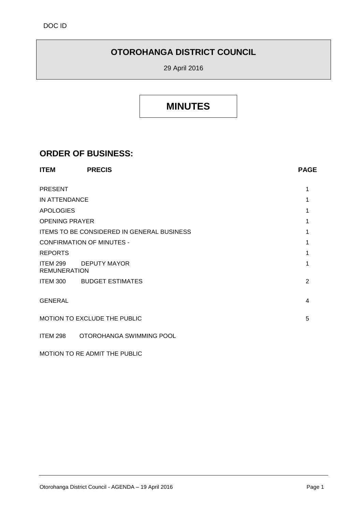## **OTOROHANGA DISTRICT COUNCIL**

29 April 2016

## **MINUTES**

### **ORDER OF BUSINESS:**

| <b>ITEM</b>                                       | <b>PRECIS</b>             | <b>PAGE</b> |
|---------------------------------------------------|---------------------------|-------------|
| <b>PRESENT</b>                                    |                           | 1           |
| IN ATTENDANCE                                     |                           |             |
| <b>APOLOGIES</b>                                  |                           |             |
| <b>OPENING PRAYER</b>                             |                           | 1           |
| <b>ITEMS TO BE CONSIDERED IN GENERAL BUSINESS</b> |                           |             |
| <b>CONFIRMATION OF MINUTES -</b>                  |                           |             |
| <b>REPORTS</b>                                    |                           |             |
| ITEM 299<br><b>REMUNERATION</b>                   | DEPUTY MAYOR              |             |
|                                                   | ITEM 300 BUDGET ESTIMATES | 2           |
| <b>GENERAL</b>                                    |                           | 4           |
| MOTION TO EXCLUDE THE PUBLIC                      |                           |             |
| <b>ITEM 298</b>                                   | OTOROHANGA SWIMMING POOL  |             |

MOTION TO RE ADMIT THE PUBLIC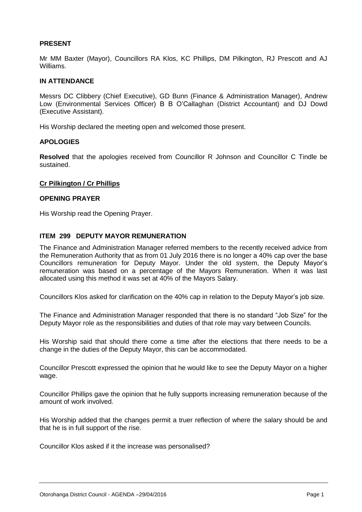#### **PRESENT**

Mr MM Baxter (Mayor), Councillors RA Klos, KC Phillips, DM Pilkington, RJ Prescott and AJ Williams.

#### **IN ATTENDANCE**

Messrs DC Clibbery (Chief Executive), GD Bunn (Finance & Administration Manager), Andrew Low (Environmental Services Officer) B B O'Callaghan (District Accountant) and DJ Dowd (Executive Assistant).

His Worship declared the meeting open and welcomed those present.

#### **APOLOGIES**

**Resolved** that the apologies received from Councillor R Johnson and Councillor C Tindle be sustained.

#### **Cr Pilkington / Cr Phillips**

#### **OPENING PRAYER**

His Worship read the Opening Prayer.

#### **ITEM 299 DEPUTY MAYOR REMUNERATION**

The Finance and Administration Manager referred members to the recently received advice from the Remuneration Authority that as from 01 July 2016 there is no longer a 40% cap over the base Councillors remuneration for Deputy Mayor. Under the old system, the Deputy Mayor's remuneration was based on a percentage of the Mayors Remuneration. When it was last allocated using this method it was set at 40% of the Mayors Salary.

Councillors Klos asked for clarification on the 40% cap in relation to the Deputy Mayor's job size.

The Finance and Administration Manager responded that there is no standard "Job Size" for the Deputy Mayor role as the responsibilities and duties of that role may vary between Councils.

His Worship said that should there come a time after the elections that there needs to be a change in the duties of the Deputy Mayor, this can be accommodated.

Councillor Prescott expressed the opinion that he would like to see the Deputy Mayor on a higher wage.

Councillor Phillips gave the opinion that he fully supports increasing remuneration because of the amount of work involved.

His Worship added that the changes permit a truer reflection of where the salary should be and that he is in full support of the rise.

Councillor Klos asked if it the increase was personalised?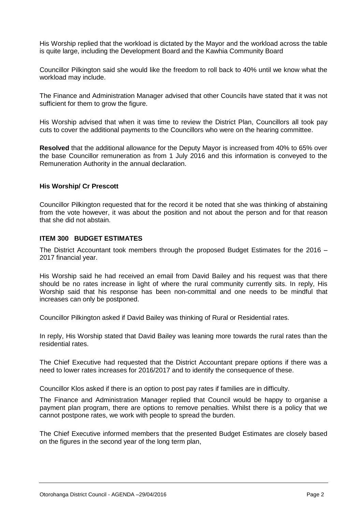His Worship replied that the workload is dictated by the Mayor and the workload across the table is quite large, including the Development Board and the Kawhia Community Board

Councillor Pilkington said she would like the freedom to roll back to 40% until we know what the workload may include.

The Finance and Administration Manager advised that other Councils have stated that it was not sufficient for them to grow the figure.

His Worship advised that when it was time to review the District Plan, Councillors all took pay cuts to cover the additional payments to the Councillors who were on the hearing committee.

**Resolved** that the additional allowance for the Deputy Mayor is increased from 40% to 65% over the base Councillor remuneration as from 1 July 2016 and this information is conveyed to the Remuneration Authority in the annual declaration.

#### **His Worship/ Cr Prescott**

Councillor Pilkington requested that for the record it be noted that she was thinking of abstaining from the vote however, it was about the position and not about the person and for that reason that she did not abstain.

#### **ITEM 300 BUDGET ESTIMATES**

The District Accountant took members through the proposed Budget Estimates for the 2016 – 2017 financial year.

His Worship said he had received an email from David Bailey and his request was that there should be no rates increase in light of where the rural community currently sits. In reply, His Worship said that his response has been non-committal and one needs to be mindful that increases can only be postponed.

Councillor Pilkington asked if David Bailey was thinking of Rural or Residential rates.

In reply, His Worship stated that David Bailey was leaning more towards the rural rates than the residential rates.

The Chief Executive had requested that the District Accountant prepare options if there was a need to lower rates increases for 2016/2017 and to identify the consequence of these.

Councillor Klos asked if there is an option to post pay rates if families are in difficulty.

The Finance and Administration Manager replied that Council would be happy to organise a payment plan program, there are options to remove penalties. Whilst there is a policy that we cannot postpone rates, we work with people to spread the burden.

The Chief Executive informed members that the presented Budget Estimates are closely based on the figures in the second year of the long term plan,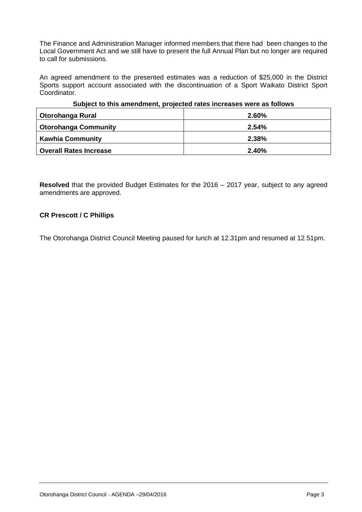The Finance and Administration Manager informed members that there had been changes to the Local Government Act and we still have to present the full Annual Plan but no longer are required to call for submissions.

An agreed amendment to the presented estimates was a reduction of \$25,000 in the District Sports support account associated with the discontinuation of a Sport Waikato District Sport Coordinator.

| Subject to this amendment, projected rates increases were as follows |          |  |  |
|----------------------------------------------------------------------|----------|--|--|
| Otorohanga Rural                                                     | $2.60\%$ |  |  |
| <b>Otorohanga Community</b>                                          | 2.54%    |  |  |
| <b>Kawhia Community</b>                                              | 2.38%    |  |  |
| <b>Overall Rates Increase</b>                                        | 2.40%    |  |  |

#### **Subject to this amendment, projected rates increases were as follows**

**Resolved** that the provided Budget Estimates for the 2016 – 2017 year, subject to any agreed amendments are approved.

#### **CR Prescott / C Phillips**

The Otorohanga District Council Meeting paused for lunch at 12.31pm and resumed at 12.51pm.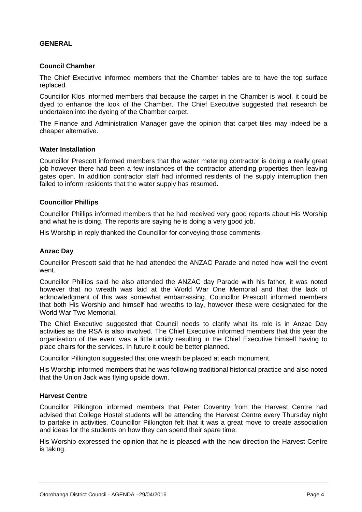#### **GENERAL**

#### **Council Chamber**

The Chief Executive informed members that the Chamber tables are to have the top surface replaced.

Councillor Klos informed members that because the carpet in the Chamber is wool, it could be dyed to enhance the look of the Chamber. The Chief Executive suggested that research be undertaken into the dyeing of the Chamber carpet.

The Finance and Administration Manager gave the opinion that carpet tiles may indeed be a cheaper alternative.

#### **Water Installation**

Councillor Prescott informed members that the water metering contractor is doing a really great job however there had been a few instances of the contractor attending properties then leaving gates open. In addition contractor staff had informed residents of the supply interruption then failed to inform residents that the water supply has resumed.

#### **Councillor Phillips**

Councillor Phillips informed members that he had received very good reports about His Worship and what he is doing. The reports are saying he is doing a very good job.

His Worship in reply thanked the Councillor for conveying those comments.

#### **Anzac Day**

Councillor Prescott said that he had attended the ANZAC Parade and noted how well the event went.

Councillor Phillips said he also attended the ANZAC day Parade with his father, it was noted however that no wreath was laid at the World War One Memorial and that the lack of acknowledgment of this was somewhat embarrassing. Councillor Prescott informed members that both His Worship and himself had wreaths to lay, however these were designated for the World War Two Memorial.

The Chief Executive suggested that Council needs to clarify what its role is in Anzac Day activities as the RSA is also involved. The Chief Executive informed members that this year the organisation of the event was a little untidy resulting in the Chief Executive himself having to place chairs for the services. In future it could be better planned.

Councillor Pilkington suggested that one wreath be placed at each monument.

His Worship informed members that he was following traditional historical practice and also noted that the Union Jack was flying upside down.

#### **Harvest Centre**

Councillor Pilkington informed members that Peter Coventry from the Harvest Centre had advised that College Hostel students will be attending the Harvest Centre every Thursday night to partake in activities. Councillor Pilkington felt that it was a great move to create association and ideas for the students on how they can spend their spare time.

His Worship expressed the opinion that he is pleased with the new direction the Harvest Centre is taking.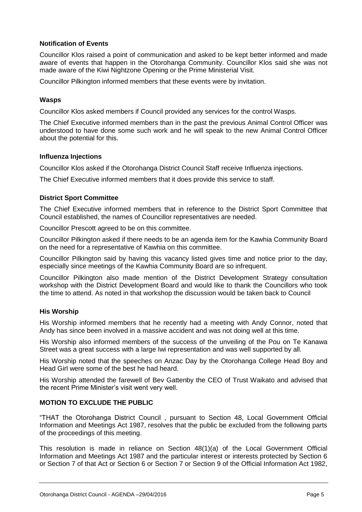#### **Notification of Events**

Councillor Klos raised a point of communication and asked to be kept better informed and made aware of events that happen in the Otorohanga Community. Councillor Klos said she was not made aware of the Kiwi Nightzone Opening or the Prime Ministerial Visit.

Councillor Pilkington informed members that these events were by invitation.

#### **Wasps**

Councillor Klos asked members if Council provided any services for the control Wasps.

The Chief Executive informed members than in the past the previous Animal Control Officer was understood to have done some such work and he will speak to the new Animal Control Officer about the potential for this.

#### **Influenza Injections**

Councillor Klos asked if the Otorohanga District Council Staff receive Influenza injections.

The Chief Executive informed members that it does provide this service to staff.

#### **District Sport Committee**

The Chief Executive informed members that in reference to the District Sport Committee that Council established, the names of Councillor representatives are needed.

Councillor Prescott agreed to be on this committee.

Councillor Pilkington asked if there needs to be an agenda item for the Kawhia Community Board on the need for a representative of Kawhia on this committee.

Councillor Pilkington said by having this vacancy listed gives time and notice prior to the day, especially since meetings of the Kawhia Community Board are so infrequent.

Councillor Pilkington also made mention of the District Development Strategy consultation workshop with the District Development Board and would like to thank the Councillors who took the time to attend. As noted in that workshop the discussion would be taken back to Council

#### **His Worship**

His Worship informed members that he recently had a meeting with Andy Connor, noted that Andy has since been involved in a massive accident and was not doing well at this time.

His Worship also informed members of the success of the unveiling of the Pou on Te Kanawa Street was a great success with a large Iwi representation and was well supported by all.

His Worship noted that the speeches on Anzac Day by the Otorohanga College Head Boy and Head Girl were some of the best he had heard.

His Worship attended the farewell of Bev Gattenby the CEO of Trust Waikato and advised that the recent Prime Minister's visit went very well.

#### **MOTION TO EXCLUDE THE PUBLIC**

"THAT the Otorohanga District Council , pursuant to Section 48, Local Government Official Information and Meetings Act 1987, resolves that the public be excluded from the following parts of the proceedings of this meeting.

This resolution is made in reliance on Section 48(1)(a) of the Local Government Official Information and Meetings Act 1987 and the particular interest or interests protected by Section 6 or Section 7 of that Act or Section 6 or Section 7 or Section 9 of the Official Information Act 1982,